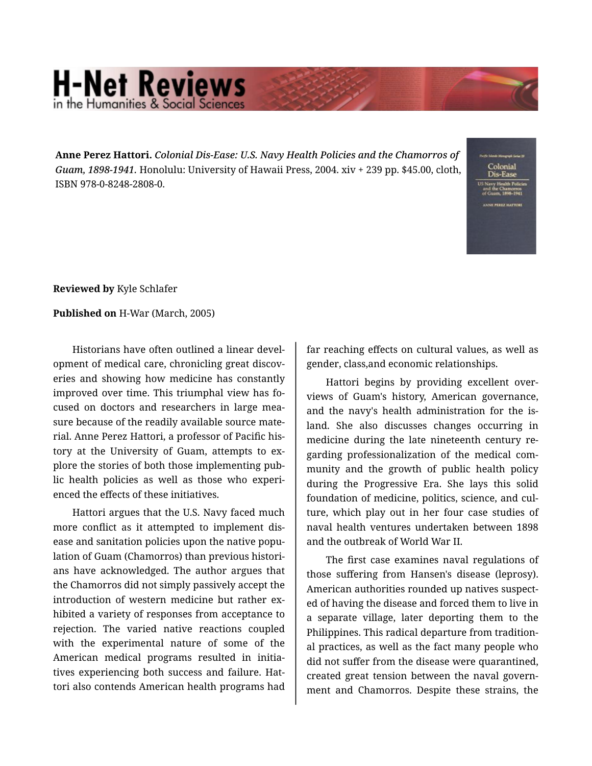## **H-Net Reviews** in the Humanities & Social Scier

**Anne Perez Hattori.** *Colonial Dis-Ease: U.S. Navy Health Policies and the Chamorros of Guam, 1898-1941.* Honolulu: University of Hawaii Press, 2004. xiv + 239 pp. \$45.00, cloth, ISBN 978-0-8248-2808-0.

Colonial

**Reviewed by** Kyle Schlafer

**Published on** H-War (March, 2005)

Historians have often outlined a linear devel‐ opment of medical care, chronicling great discov‐ eries and showing how medicine has constantly improved over time. This triumphal view has focused on doctors and researchers in large mea‐ sure because of the readily available source mate‐ rial. Anne Perez Hattori, a professor of Pacific his‐ tory at the University of Guam, attempts to ex‐ plore the stories of both those implementing pub‐ lic health policies as well as those who experi‐ enced the effects of these initiatives.

Hattori argues that the U.S. Navy faced much more conflict as it attempted to implement dis‐ ease and sanitation policies upon the native popu‐ lation of Guam (Chamorros) than previous histori‐ ans have acknowledged. The author argues that the Chamorros did not simply passively accept the introduction of western medicine but rather exhibited a variety of responses from acceptance to rejection. The varied native reactions coupled with the experimental nature of some of the American medical programs resulted in initia‐ tives experiencing both success and failure. Hat‐ tori also contends American health programs had far reaching effects on cultural values, as well as gender, class,and economic relationships.

Hattori begins by providing excellent over‐ views of Guam's history, American governance, and the navy's health administration for the is‐ land. She also discusses changes occurring in medicine during the late nineteenth century re‐ garding professionalization of the medical com‐ munity and the growth of public health policy during the Progressive Era. She lays this solid foundation of medicine, politics, science, and cul‐ ture, which play out in her four case studies of naval health ventures undertaken between 1898 and the outbreak of World War II.

The first case examines naval regulations of those suffering from Hansen's disease (leprosy). American authorities rounded up natives suspect‐ ed of having the disease and forced them to live in a separate village, later deporting them to the Philippines. This radical departure from tradition‐ al practices, as well as the fact many people who did not suffer from the disease were quarantined, created great tension between the naval govern‐ ment and Chamorros. Despite these strains, the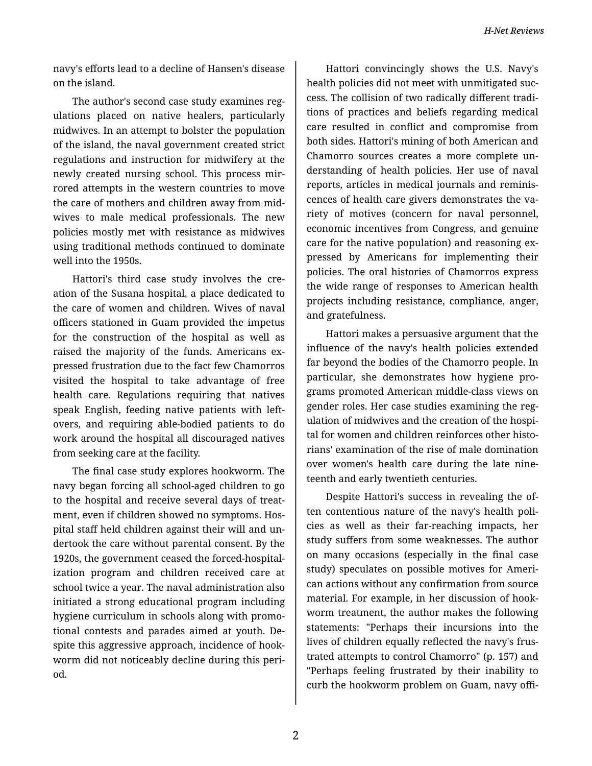*H-Net Reviews*

navy's efforts lead to a decline of Hansen's disease on the island.

The author's second case study examines reg‐ ulations placed on native healers, particularly midwives. In an attempt to bolster the population of the island, the naval government created strict regulations and instruction for midwifery at the newly created nursing school. This process mir‐ rored attempts in the western countries to move the care of mothers and children away from mid‐ wives to male medical professionals. The new policies mostly met with resistance as midwives using traditional methods continued to dominate well into the 1950s.

Hattori's third case study involves the cre‐ ation of the Susana hospital, a place dedicated to the care of women and children. Wives of naval officers stationed in Guam provided the impetus for the construction of the hospital as well as raised the majority of the funds. Americans expressed frustration due to the fact few Chamorros visited the hospital to take advantage of free health care. Regulations requiring that natives speak English, feeding native patients with left‐ overs, and requiring able-bodied patients to do work around the hospital all discouraged natives from seeking care at the facility.

The final case study explores hookworm. The navy began forcing all school-aged children to go to the hospital and receive several days of treat‐ ment, even if children showed no symptoms. Hos‐ pital staff held children against their will and un‐ dertook the care without parental consent. By the 1920s, the government ceased the forced-hospital‐ ization program and children received care at school twice a year. The naval administration also initiated a strong educational program including hygiene curriculum in schools along with promo‐ tional contests and parades aimed at youth. De‐ spite this aggressive approach, incidence of hook‐ worm did not noticeably decline during this peri‐ od.

Hattori convincingly shows the U.S. Navy's health policies did not meet with unmitigated suc‐ cess. The collision of two radically different tradi‐ tions of practices and beliefs regarding medical care resulted in conflict and compromise from both sides. Hattori's mining of both American and Chamorro sources creates a more complete un‐ derstanding of health policies. Her use of naval reports, articles in medical journals and reminis‐ cences of health care givers demonstrates the va‐ riety of motives (concern for naval personnel, economic incentives from Congress, and genuine care for the native population) and reasoning expressed by Americans for implementing their policies. The oral histories of Chamorros express the wide range of responses to American health projects including resistance, compliance, anger, and gratefulness.

Hattori makes a persuasive argument that the influence of the navy's health policies extended far beyond the bodies of the Chamorro people. In particular, she demonstrates how hygiene pro‐ grams promoted American middle-class views on gender roles. Her case studies examining the reg‐ ulation of midwives and the creation of the hospi‐ tal for women and children reinforces other historians' examination of the rise of male domination over women's health care during the late nine‐ teenth and early twentieth centuries.

Despite Hattori's success in revealing the of‐ ten contentious nature of the navy's health poli‐ cies as well as their far-reaching impacts, her study suffers from some weaknesses. The author on many occasions (especially in the final case study) speculates on possible motives for Ameri‐ can actions without any confirmation from source material. For example, in her discussion of hook‐ worm treatment, the author makes the following statements: "Perhaps their incursions into the lives of children equally reflected the navy's frus‐ trated attempts to control Chamorro" (p. 157) and "Perhaps feeling frustrated by their inability to curb the hookworm problem on Guam, navy offi‐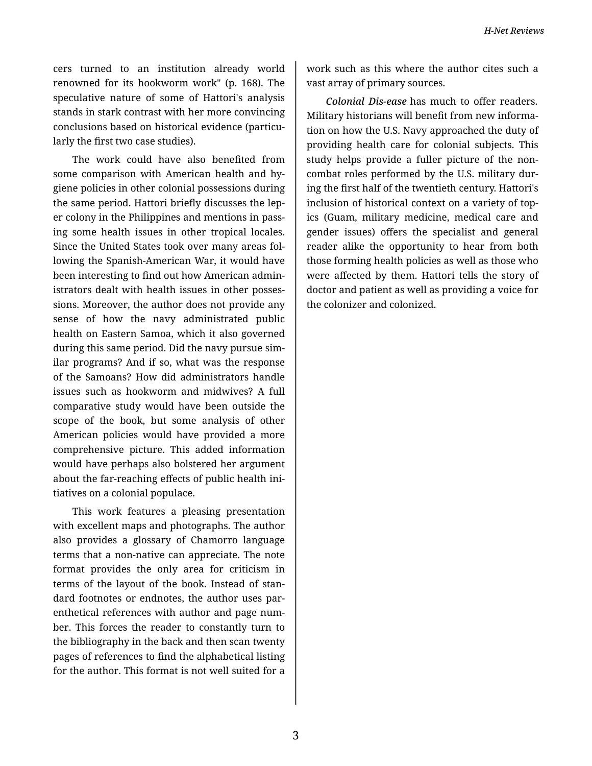cers turned to an institution already world renowned for its hookworm work" (p. 168). The speculative nature of some of Hattori's analysis stands in stark contrast with her more convincing conclusions based on historical evidence (particu‐ larly the first two case studies).

The work could have also benefited from some comparison with American health and hy‐ giene policies in other colonial possessions during the same period. Hattori briefly discusses the lep‐ er colony in the Philippines and mentions in pass‐ ing some health issues in other tropical locales. Since the United States took over many areas fol‐ lowing the Spanish-American War, it would have been interesting to find out how American admin‐ istrators dealt with health issues in other posses‐ sions. Moreover, the author does not provide any sense of how the navy administrated public health on Eastern Samoa, which it also governed during this same period. Did the navy pursue sim‐ ilar programs? And if so, what was the response of the Samoans? How did administrators handle issues such as hookworm and midwives? A full comparative study would have been outside the scope of the book, but some analysis of other American policies would have provided a more comprehensive picture. This added information would have perhaps also bolstered her argument about the far-reaching effects of public health ini‐ tiatives on a colonial populace.

This work features a pleasing presentation with excellent maps and photographs. The author also provides a glossary of Chamorro language terms that a non-native can appreciate. The note format provides the only area for criticism in terms of the layout of the book. Instead of stan‐ dard footnotes or endnotes, the author uses par‐ enthetical references with author and page num‐ ber. This forces the reader to constantly turn to the bibliography in the back and then scan twenty pages of references to find the alphabetical listing for the author. This format is not well suited for a

work such as this where the author cites such a vast array of primary sources.

*Colonial Dis-ease* has much to offer readers. Military historians will benefit from new informa‐ tion on how the U.S. Navy approached the duty of providing health care for colonial subjects. This study helps provide a fuller picture of the non‐ combat roles performed by the U.S. military dur‐ ing the first half of the twentieth century. Hattori's inclusion of historical context on a variety of top‐ ics (Guam, military medicine, medical care and gender issues) offers the specialist and general reader alike the opportunity to hear from both those forming health policies as well as those who were affected by them. Hattori tells the story of doctor and patient as well as providing a voice for the colonizer and colonized.